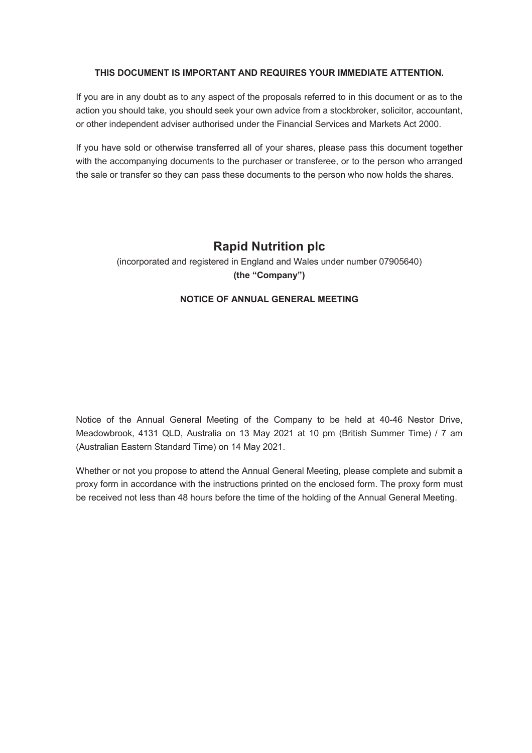## **THIS DOCUMENT IS IMPORTANT AND REQUIRES YOUR IMMEDIATE ATTENTION.**

If you are in any doubt as to any aspect of the proposals referred to in this document or as to the action you should take, you should seek your own advice from a stockbroker, solicitor, accountant, or other independent adviser authorised under the Financial Services and Markets Act 2000.

If you have sold or otherwise transferred all of your shares, please pass this document together with the accompanying documents to the purchaser or transferee, or to the person who arranged the sale or transfer so they can pass these documents to the person who now holds the shares.

# **Rapid Nutrition plc**

(incorporated and registered in England and Wales under number 07905640) **(the "Company")**

# **NOTICE OF ANNUAL GENERAL MEETING**

Notice of the Annual General Meeting of the Company to be held at 40-46 Nestor Drive, Meadowbrook, 4131 QLD, Australia on 13 May 2021 at 10 pm (British Summer Time) / 7 am (Australian Eastern Standard Time) on 14 May 2021.

Whether or not you propose to attend the Annual General Meeting, please complete and submit a proxy form in accordance with the instructions printed on the enclosed form. The proxy form must be received not less than 48 hours before the time of the holding of the Annual General Meeting.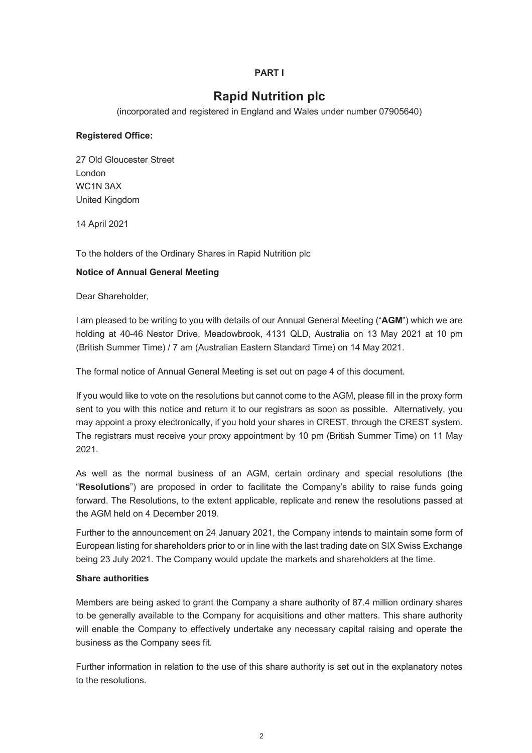## **PART I**

# **Rapid Nutrition plc**

(incorporated and registered in England and Wales under number 07905640)

#### **Registered Office:**

27 Old Gloucester Street London WC1N 3AX United Kingdom

14 April 2021

To the holders of the Ordinary Shares in Rapid Nutrition plc

#### **Notice of Annual General Meeting**

Dear Shareholder,

I am pleased to be writing to you with details of our Annual General Meeting ("**AGM**") which we are holding at 40-46 Nestor Drive, Meadowbrook, 4131 QLD, Australia on 13 May 2021 at 10 pm (British Summer Time) / 7 am (Australian Eastern Standard Time) on 14 May 2021.

The formal notice of Annual General Meeting is set out on page 4 of this document.

If you would like to vote on the resolutions but cannot come to the AGM, please fill in the proxy form sent to you with this notice and return it to our registrars as soon as possible. Alternatively, you may appoint a proxy electronically, if you hold your shares in CREST, through the CREST system. The registrars must receive your proxy appointment by 10 pm (British Summer Time) on 11 May 2021.

As well as the normal business of an AGM, certain ordinary and special resolutions (the "**Resolutions**") are proposed in order to facilitate the Company's ability to raise funds going forward. The Resolutions, to the extent applicable, replicate and renew the resolutions passed at the AGM held on 4 December 2019.

Further to the announcement on 24 January 2021, the Company intends to maintain some form of European listing for shareholders prior to or in line with the last trading date on SIX Swiss Exchange being 23 July 2021. The Company would update the markets and shareholders at the time.

#### **Share authorities**

Members are being asked to grant the Company a share authority of 87.4 million ordinary shares to be generally available to the Company for acquisitions and other matters. This share authority will enable the Company to effectively undertake any necessary capital raising and operate the business as the Company sees fit.

Further information in relation to the use of this share authority is set out in the explanatory notes to the resolutions.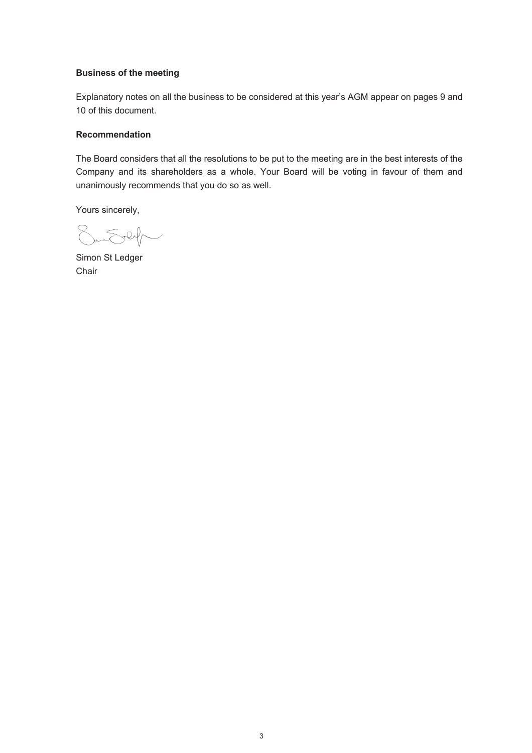## **Business of the meeting**

Explanatory notes on all the business to be considered at this year's AGM appear on pages 9 and 10 of this document.

## **Recommendation**

The Board considers that all the resolutions to be put to the meeting are in the best interests of the Company and its shareholders as a whole. Your Board will be voting in favour of them and unanimously recommends that you do so as well.

Yours sincerely,

SunSey

Simon St Ledger Chair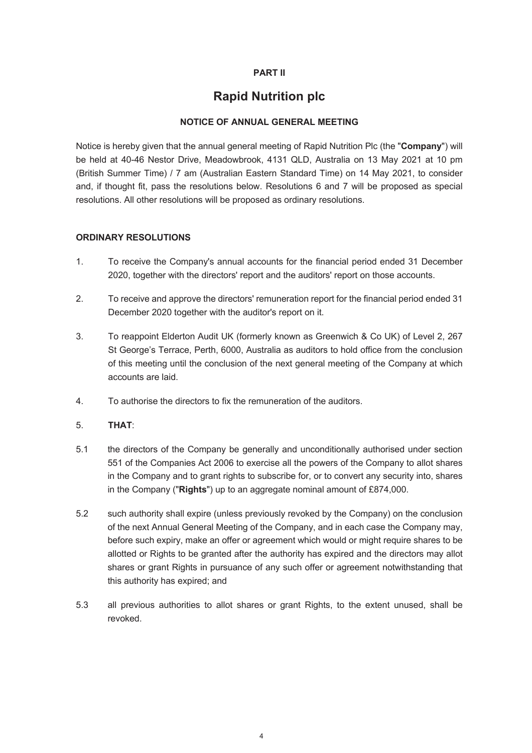# **PART II**

# **Rapid Nutrition plc**

# **NOTICE OF ANNUAL GENERAL MEETING**

Notice is hereby given that the annual general meeting of Rapid Nutrition Plc (the "**Company**") will be held at 40-46 Nestor Drive, Meadowbrook, 4131 QLD, Australia on 13 May 2021 at 10 pm (British Summer Time) / 7 am (Australian Eastern Standard Time) on 14 May 2021, to consider and, if thought fit, pass the resolutions below. Resolutions 6 and 7 will be proposed as special resolutions. All other resolutions will be proposed as ordinary resolutions.

### **ORDINARY RESOLUTIONS**

- 1. To receive the Company's annual accounts for the financial period ended 31 December 2020, together with the directors' report and the auditors' report on those accounts.
- 2. To receive and approve the directors' remuneration report for the financial period ended 31 December 2020 together with the auditor's report on it.
- 3. To reappoint Elderton Audit UK (formerly known as Greenwich & Co UK) of Level 2, 267 St George's Terrace, Perth, 6000, Australia as auditors to hold office from the conclusion of this meeting until the conclusion of the next general meeting of the Company at which accounts are laid.
- 4. To authorise the directors to fix the remuneration of the auditors.

### 5. **THAT**:

- 5.1 the directors of the Company be generally and unconditionally authorised under section 551 of the Companies Act 2006 to exercise all the powers of the Company to allot shares in the Company and to grant rights to subscribe for, or to convert any security into, shares in the Company ("**Rights**") up to an aggregate nominal amount of £874,000.
- 5.2 such authority shall expire (unless previously revoked by the Company) on the conclusion of the next Annual General Meeting of the Company, and in each case the Company may, before such expiry, make an offer or agreement which would or might require shares to be allotted or Rights to be granted after the authority has expired and the directors may allot shares or grant Rights in pursuance of any such offer or agreement notwithstanding that this authority has expired; and
- 5.3 all previous authorities to allot shares or grant Rights, to the extent unused, shall be revoked.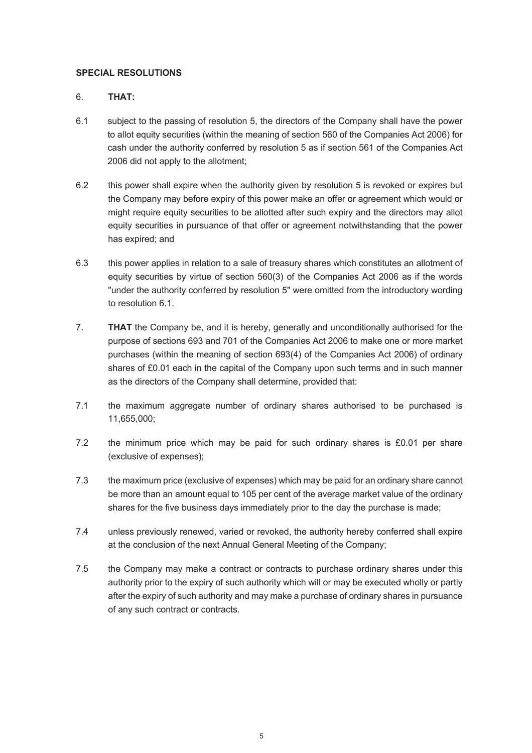# **SPECIAL RESOLUTIONS**

# 6. **THAT:**

- 6.1 subject to the passing of resolution 5, the directors of the Company shall have the power to allot equity securities (within the meaning of section 560 of the Companies Act 2006) for cash under the authority conferred by resolution 5 as if section 561 of the Companies Act 2006 did not apply to the allotment;
- 6.2 this power shall expire when the authority given by resolution 5 is revoked or expires but the Company may before expiry of this power make an offer or agreement which would or might require equity securities to be allotted after such expiry and the directors may allot equity securities in pursuance of that offer or agreement notwithstanding that the power has expired; and
- 6.3 this power applies in relation to a sale of treasury shares which constitutes an allotment of equity securities by virtue of section 560(3) of the Companies Act 2006 as if the words "under the authority conferred by resolution 5" were omitted from the introductory wording to resolution 6.1.
- 7. **THAT** the Company be, and it is hereby, generally and unconditionally authorised for the purpose of sections 693 and 701 of the Companies Act 2006 to make one or more market purchases (within the meaning of section 693(4) of the Companies Act 2006) of ordinary shares of £0.01 each in the capital of the Company upon such terms and in such manner as the directors of the Company shall determine, provided that:
- 7.1 the maximum aggregate number of ordinary shares authorised to be purchased is 11,655,000;
- 7.2 the minimum price which may be paid for such ordinary shares is £0.01 per share (exclusive of expenses);
- 7.3 the maximum price (exclusive of expenses) which may be paid for an ordinary share cannot be more than an amount equal to 105 per cent of the average market value of the ordinary shares for the five business days immediately prior to the day the purchase is made;
- 7.4 unless previously renewed, varied or revoked, the authority hereby conferred shall expire at the conclusion of the next Annual General Meeting of the Company;
- 7.5 the Company may make a contract or contracts to purchase ordinary shares under this authority prior to the expiry of such authority which will or may be executed wholly or partly after the expiry of such authority and may make a purchase of ordinary shares in pursuance of any such contract or contracts.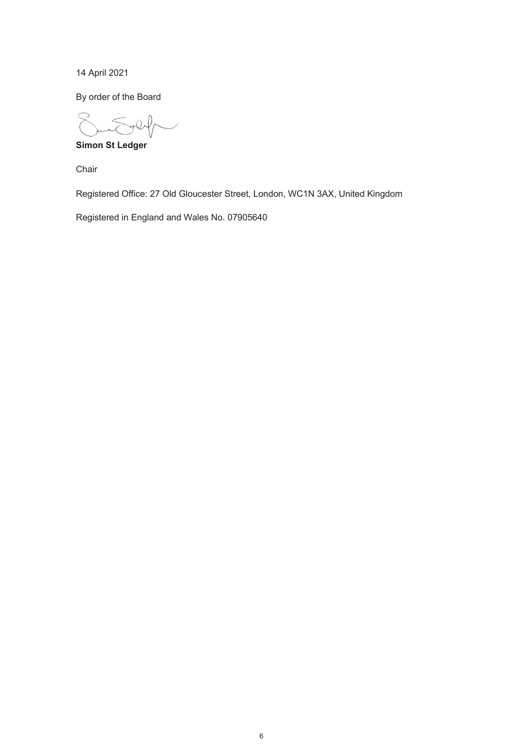14 April 2021

By order of the Board

**Simon St Ledger**

Chair

Registered Office: 27 Old Gloucester Street, London, WC1N 3AX, United Kingdom

Registered in England and Wales No. 07905640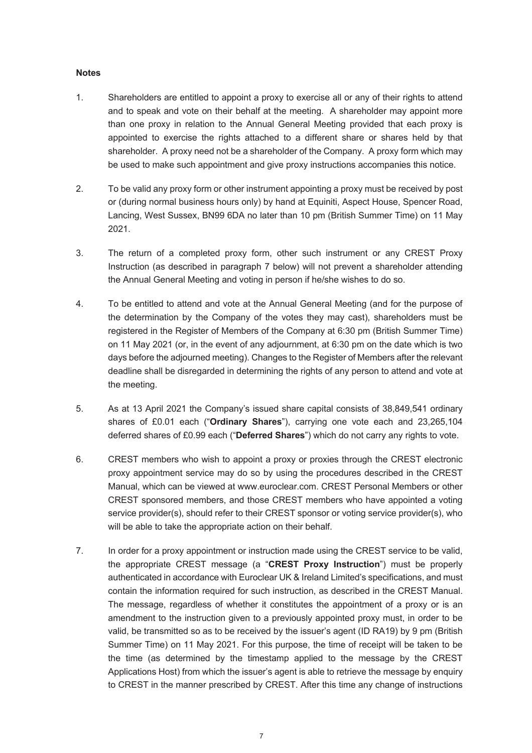#### **Notes**

- 1. Shareholders are entitled to appoint a proxy to exercise all or any of their rights to attend and to speak and vote on their behalf at the meeting. A shareholder may appoint more than one proxy in relation to the Annual General Meeting provided that each proxy is appointed to exercise the rights attached to a different share or shares held by that shareholder. A proxy need not be a shareholder of the Company. A proxy form which may be used to make such appointment and give proxy instructions accompanies this notice.
- 2. To be valid any proxy form or other instrument appointing a proxy must be received by post or (during normal business hours only) by hand at Equiniti, Aspect House, Spencer Road, Lancing, West Sussex, BN99 6DA no later than 10 pm (British Summer Time) on 11 May 2021.
- 3. The return of a completed proxy form, other such instrument or any CREST Proxy Instruction (as described in paragraph 7 below) will not prevent a shareholder attending the Annual General Meeting and voting in person if he/she wishes to do so.
- 4. To be entitled to attend and vote at the Annual General Meeting (and for the purpose of the determination by the Company of the votes they may cast), shareholders must be registered in the Register of Members of the Company at 6:30 pm (British Summer Time) on 11 May 2021 (or, in the event of any adjournment, at 6:30 pm on the date which is two days before the adjourned meeting). Changes to the Register of Members after the relevant deadline shall be disregarded in determining the rights of any person to attend and vote at the meeting.
- 5. As at 13 April 2021 the Company's issued share capital consists of 38,849,541 ordinary shares of £0.01 each ("**Ordinary Shares**"), carrying one vote each and 23,265,104 deferred shares of £0.99 each ("**Deferred Shares**") which do not carry any rights to vote.
- 6. CREST members who wish to appoint a proxy or proxies through the CREST electronic proxy appointment service may do so by using the procedures described in the CREST Manual, which can be viewed at www.euroclear.com. CREST Personal Members or other CREST sponsored members, and those CREST members who have appointed a voting service provider(s), should refer to their CREST sponsor or voting service provider(s), who will be able to take the appropriate action on their behalf.
- 7. In order for a proxy appointment or instruction made using the CREST service to be valid, the appropriate CREST message (a "**CREST Proxy Instruction**") must be properly authenticated in accordance with Euroclear UK & Ireland Limited's specifications, and must contain the information required for such instruction, as described in the CREST Manual. The message, regardless of whether it constitutes the appointment of a proxy or is an amendment to the instruction given to a previously appointed proxy must, in order to be valid, be transmitted so as to be received by the issuer's agent (ID RA19) by 9 pm (British Summer Time) on 11 May 2021. For this purpose, the time of receipt will be taken to be the time (as determined by the timestamp applied to the message by the CREST Applications Host) from which the issuer's agent is able to retrieve the message by enquiry to CREST in the manner prescribed by CREST. After this time any change of instructions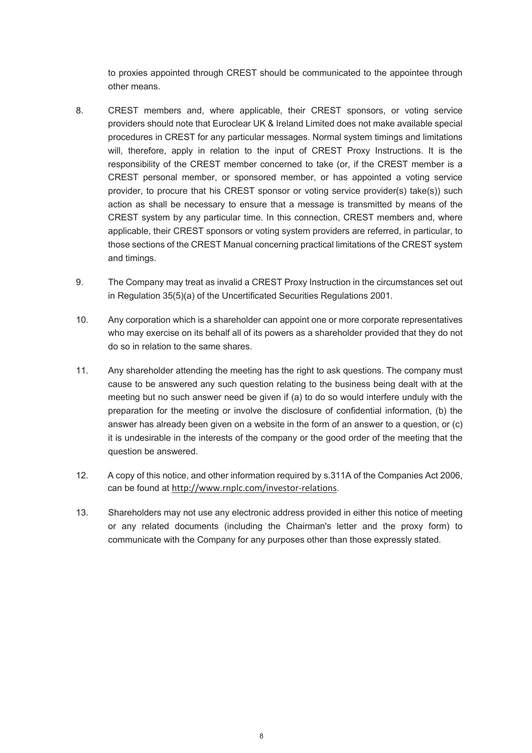to proxies appointed through CREST should be communicated to the appointee through other means.

- 8. CREST members and, where applicable, their CREST sponsors, or voting service providers should note that Euroclear UK & Ireland Limited does not make available special procedures in CREST for any particular messages. Normal system timings and limitations will, therefore, apply in relation to the input of CREST Proxy Instructions. It is the responsibility of the CREST member concerned to take (or, if the CREST member is a CREST personal member, or sponsored member, or has appointed a voting service provider, to procure that his CREST sponsor or voting service provider(s) take(s)) such action as shall be necessary to ensure that a message is transmitted by means of the CREST system by any particular time. In this connection, CREST members and, where applicable, their CREST sponsors or voting system providers are referred, in particular, to those sections of the CREST Manual concerning practical limitations of the CREST system and timings.
- 9. The Company may treat as invalid a CREST Proxy Instruction in the circumstances set out in Regulation 35(5)(a) of the Uncertificated Securities Regulations 2001.
- 10. Any corporation which is a shareholder can appoint one or more corporate representatives who may exercise on its behalf all of its powers as a shareholder provided that they do not do so in relation to the same shares.
- 11. Any shareholder attending the meeting has the right to ask questions. The company must cause to be answered any such question relating to the business being dealt with at the meeting but no such answer need be given if (a) to do so would interfere unduly with the preparation for the meeting or involve the disclosure of confidential information, (b) the answer has already been given on a website in the form of an answer to a question, or (c) it is undesirable in the interests of the company or the good order of the meeting that the question be answered.
- 12. A copy of this notice, and other information required by s.311A of the Companies Act 2006, can be found at http://www.rnplc.com/investor-relations.
- 13. Shareholders may not use any electronic address provided in either this notice of meeting or any related documents (including the Chairman's letter and the proxy form) to communicate with the Company for any purposes other than those expressly stated.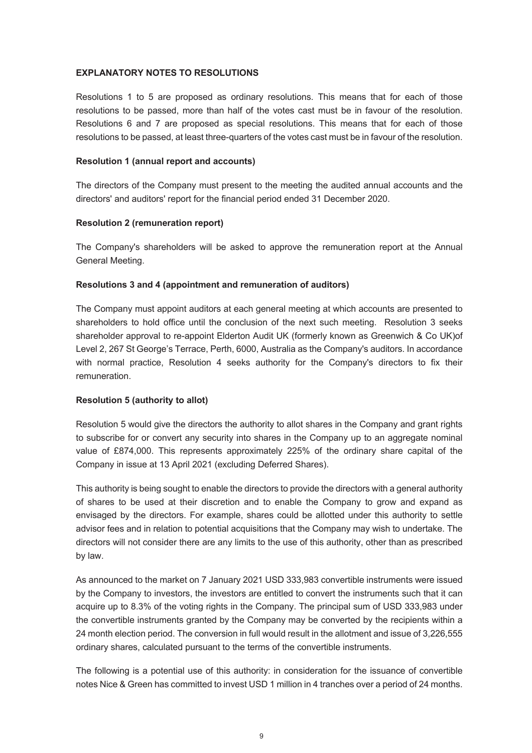### **EXPLANATORY NOTES TO RESOLUTIONS**

Resolutions 1 to 5 are proposed as ordinary resolutions. This means that for each of those resolutions to be passed, more than half of the votes cast must be in favour of the resolution. Resolutions 6 and 7 are proposed as special resolutions. This means that for each of those resolutions to be passed, at least three-quarters of the votes cast must be in favour of the resolution.

#### **Resolution 1 (annual report and accounts)**

The directors of the Company must present to the meeting the audited annual accounts and the directors' and auditors' report for the financial period ended 31 December 2020.

#### **Resolution 2 (remuneration report)**

The Company's shareholders will be asked to approve the remuneration report at the Annual General Meeting.

#### **Resolutions 3 and 4 (appointment and remuneration of auditors)**

The Company must appoint auditors at each general meeting at which accounts are presented to shareholders to hold office until the conclusion of the next such meeting. Resolution 3 seeks shareholder approval to re-appoint Elderton Audit UK (formerly known as Greenwich & Co UK)of Level 2, 267 St George's Terrace, Perth, 6000, Australia as the Company's auditors. In accordance with normal practice, Resolution 4 seeks authority for the Company's directors to fix their remuneration.

#### **Resolution 5 (authority to allot)**

Resolution 5 would give the directors the authority to allot shares in the Company and grant rights to subscribe for or convert any security into shares in the Company up to an aggregate nominal value of £874,000. This represents approximately 225% of the ordinary share capital of the Company in issue at 13 April 2021 (excluding Deferred Shares).

This authority is being sought to enable the directors to provide the directors with a general authority of shares to be used at their discretion and to enable the Company to grow and expand as envisaged by the directors. For example, shares could be allotted under this authority to settle advisor fees and in relation to potential acquisitions that the Company may wish to undertake. The directors will not consider there are any limits to the use of this authority, other than as prescribed by law.

As announced to the market on 7 January 2021 USD 333,983 convertible instruments were issued by the Company to investors, the investors are entitled to convert the instruments such that it can acquire up to 8.3% of the voting rights in the Company. The principal sum of USD 333,983 under the convertible instruments granted by the Company may be converted by the recipients within a 24 month election period. The conversion in full would result in the allotment and issue of 3,226,555 ordinary shares, calculated pursuant to the terms of the convertible instruments.

The following is a potential use of this authority: in consideration for the issuance of convertible notes Nice & Green has committed to invest USD 1 million in 4 tranches over a period of 24 months.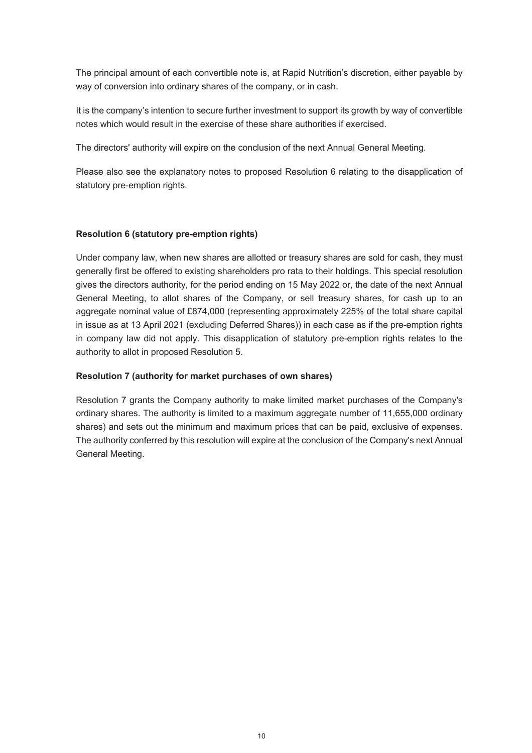The principal amount of each convertible note is, at Rapid Nutrition's discretion, either payable by way of conversion into ordinary shares of the company, or in cash.

It is the company's intention to secure further investment to support its growth by way of convertible notes which would result in the exercise of these share authorities if exercised.

The directors' authority will expire on the conclusion of the next Annual General Meeting.

Please also see the explanatory notes to proposed Resolution 6 relating to the disapplication of statutory pre-emption rights.

# **Resolution 6 (statutory pre-emption rights)**

Under company law, when new shares are allotted or treasury shares are sold for cash, they must generally first be offered to existing shareholders pro rata to their holdings. This special resolution gives the directors authority, for the period ending on 15 May 2022 or, the date of the next Annual General Meeting, to allot shares of the Company, or sell treasury shares, for cash up to an aggregate nominal value of £874,000 (representing approximately 225% of the total share capital in issue as at 13 April 2021 (excluding Deferred Shares)) in each case as if the pre-emption rights in company law did not apply. This disapplication of statutory pre-emption rights relates to the authority to allot in proposed Resolution 5.

## **Resolution 7 (authority for market purchases of own shares)**

Resolution 7 grants the Company authority to make limited market purchases of the Company's ordinary shares. The authority is limited to a maximum aggregate number of 11,655,000 ordinary shares) and sets out the minimum and maximum prices that can be paid, exclusive of expenses. The authority conferred by this resolution will expire at the conclusion of the Company's next Annual General Meeting.